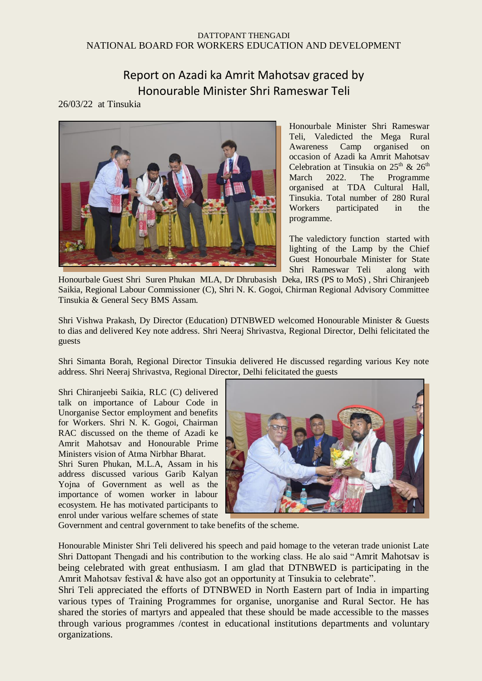## DATTOPANT THENGADI NATIONAL BOARD FOR WORKERS EDUCATION AND DEVELOPMENT

## Report on Azadi ka Amrit Mahotsav graced by Honourable Minister Shri Rameswar Teli

## 26/03/22 at Tinsukia



Honourbale Minister Shri Rameswar Teli, Valedicted the Mega Rural Awareness Camp organised on occasion of Azadi ka Amrit Mahotsav Celebration at Tinsukia on  $25<sup>th</sup>$  &  $26<sup>th</sup>$ March 2022. The Programme organised at TDA Cultural Hall, Tinsukia. Total number of 280 Rural Workers participated in the programme.

The valedictory function started with lighting of the Lamp by the Chief Guest Honourbale Minister for State Shri Rameswar Teli along with

Honourbale Guest Shri Suren Phukan MLA, Dr Dhrubasish Deka, IRS (PS to MoS) , Shri Chiranjeeb Saikia, Regional Labour Commissioner (C), Shri N. K. Gogoi, Chirman Regional Advisory Committee Tinsukia & General Secy BMS Assam.

Shri Vishwa Prakash, Dy Director (Education) DTNBWED welcomed Honourable Minister & Guests to dias and delivered Key note address. Shri Neeraj Shrivastva, Regional Director, Delhi felicitated the guests

Shri Simanta Borah, Regional Director Tinsukia delivered He discussed regarding various Key note address. Shri Neeraj Shrivastva, Regional Director, Delhi felicitated the guests

Shri Chiranjeebi Saikia, RLC (C) delivered talk on importance of Labour Code in Unorganise Sector employment and benefits for Workers. Shri N. K. Gogoi, Chairman RAC discussed on the theme of Azadi ke Amrit Mahotsav and Honourable Prime Ministers vision of Atma Nirbhar Bharat.

Shri Suren Phukan, M.L.A, Assam in his address discussed various Garib Kalyan Yojna of Government as well as the importance of women worker in labour ecosystem. He has motivated participants to enrol under various welfare schemes of state



Government and central government to take benefits of the scheme.

Honourable Minister Shri Teli delivered his speech and paid homage to the veteran trade unionist Late Shri Dattopant Thengadi and his contribution to the working class. He alo said "Amrit Mahotsav is being celebrated with great enthusiasm. I am glad that DTNBWED is participating in the Amrit Mahotsav festival & have also got an opportunity at Tinsukia to celebrate".

Shri Teli appreciated the efforts of DTNBWED in North Eastern part of India in imparting various types of Training Programmes for organise, unorganise and Rural Sector. He has shared the stories of martyrs and appealed that these should be made accessible to the masses through various programmes /contest in educational institutions departments and voluntary organizations.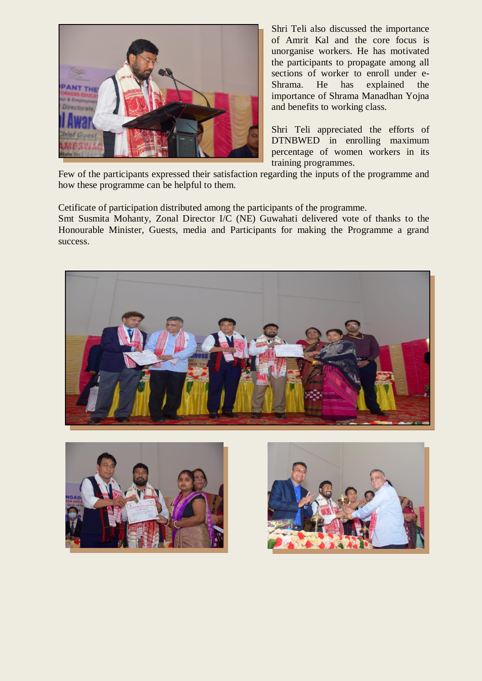

Shri Teli also discussed the importance of Amrit Kal and the core focus is unorganise workers. He has motivated the participants to propagate among all sections of worker to enroll under e-Shrama. He has explained the importance of Shrama Manadhan Yojna and benefits to working class.

Shri Teli appreciated the efforts of DTNBWED in enrolling maximum percentage of women workers in its training programmes.

Few of the participants expressed their satisfaction regarding the inputs of the programme and how these programme can be helpful to them.

Cetificate of participation distributed among the participants of the programme.

Smt Susmita Mohanty, Zonal Director I/C (NE) Guwahati delivered vote of thanks to the Honourable Minister, Guests, media and Participants for making the Programme a grand success.





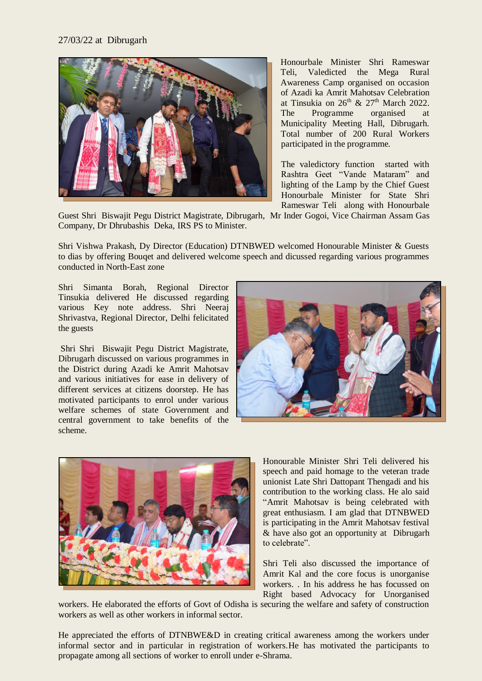## 27/03/22 at Dibrugarh



Honourbale Minister Shri Rameswar Teli, Valedicted the Mega Rural Awareness Camp organised on occasion of Azadi ka Amrit Mahotsav Celebration at Tinsukia on  $26<sup>th</sup>$  &  $27<sup>th</sup>$  March 2022. The Programme organised at Municipality Meeting Hall, Dibrugarh. Total number of 200 Rural Workers participated in the programme.

The valedictory function started with Rashtra Geet "Vande Mataram" and lighting of the Lamp by the Chief Guest Honourbale Minister for State Shri Rameswar Teli along with Honourbale

Guest Shri Biswajit Pegu District Magistrate, Dibrugarh, Mr Inder Gogoi, Vice Chairman Assam Gas Company, Dr Dhrubashis Deka, IRS PS to Minister.

Shri Vishwa Prakash, Dy Director (Education) DTNBWED welcomed Honourable Minister & Guests to dias by offering Bouqet and delivered welcome speech and dicussed regarding various programmes conducted in North-East zone

Shri Simanta Borah, Regional Director Tinsukia delivered He discussed regarding various Key note address. Shri Neeraj Shrivastva, Regional Director, Delhi felicitated the guests

Shri Shri Biswajit Pegu District Magistrate, Dibrugarh discussed on various programmes in the District during Azadi ke Amrit Mahotsav and various initiatives for ease in delivery of different services at citizens doorstep. He has motivated participants to enrol under various welfare schemes of state Government and central government to take benefits of the scheme.





Honourable Minister Shri Teli delivered his speech and paid homage to the veteran trade unionist Late Shri Dattopant Thengadi and his contribution to the working class. He alo said "Amrit Mahotsav is being celebrated with great enthusiasm. I am glad that DTNBWED is participating in the Amrit Mahotsav festival & have also got an opportunity at Dibrugarh to celebrate".

Shri Teli also discussed the importance of Amrit Kal and the core focus is unorganise workers. . In his address he has focussed on Right based Advocacy for Unorganised

workers. He elaborated the efforts of Govt of Odisha is securing the welfare and safety of construction workers as well as other workers in informal sector.

He appreciated the efforts of DTNBWE&D in creating critical awareness among the workers under informal sector and in particular in registration of workers.He has motivated the participants to propagate among all sections of worker to enroll under e-Shrama.